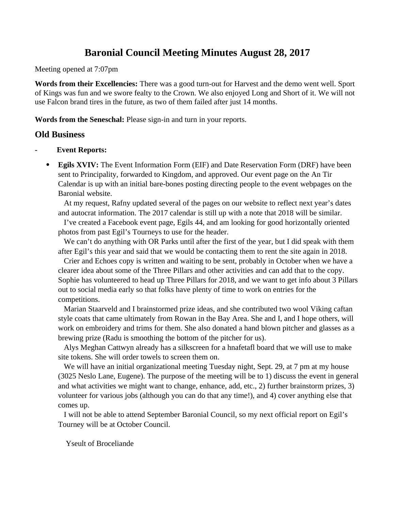# **Baronial Council Meeting Minutes August 28, 2017**

Meeting opened at 7:07pm

**Words from their Excellencies:** There was a good turn-out for Harvest and the demo went well. Sport of Kings was fun and we swore fealty to the Crown. We also enjoyed Long and Short of it. We will not use Falcon brand tires in the future, as two of them failed after just 14 months.

**Words from the Seneschal:** Please sign-in and turn in your reports.

# **Old Business**

**- Event Reports:**

 **Egils XVIV:** The Event Information Form (EIF) and Date Reservation Form (DRF) have been sent to Principality, forwarded to Kingdom, and approved. Our event page on the An Tir Calendar is up with an initial bare-bones posting directing people to the event webpages on the Baronial website.

 At my request, Rafny updated several of the pages on our website to reflect next year's dates and autocrat information. The 2017 calendar is still up with a note that 2018 will be similar.

 I've created a Facebook event page, Egils 44, and am looking for good horizontally oriented photos from past Egil's Tourneys to use for the header.

 We can't do anything with OR Parks until after the first of the year, but I did speak with them after Egil's this year and said that we would be contacting them to rent the site again in 2018.

 Crier and Echoes copy is written and waiting to be sent, probably in October when we have a clearer idea about some of the Three Pillars and other activities and can add that to the copy. Sophie has volunteered to head up Three Pillars for 2018, and we want to get info about 3 Pillars out to social media early so that folks have plenty of time to work on entries for the competitions.

 Marian Staarveld and I brainstormed prize ideas, and she contributed two wool Viking caftan style coats that came ultimately from Rowan in the Bay Area. She and I, and I hope others, will work on embroidery and trims for them. She also donated a hand blown pitcher and glasses as a brewing prize (Radu is smoothing the bottom of the pitcher for us).

 Alys Meghan Cattwyn already has a silkscreen for a hnafetafl board that we will use to make site tokens. She will order towels to screen them on.

We will have an initial organizational meeting Tuesday night, Sept. 29, at 7 pm at my house (3025 Neslo Lane, Eugene). The purpose of the meeting will be to 1) discuss the event in general and what activities we might want to change, enhance, add, etc., 2) further brainstorm prizes, 3) volunteer for various jobs (although you can do that any time!), and 4) cover anything else that comes up.

 I will not be able to attend September Baronial Council, so my next official report on Egil's Tourney will be at October Council.

Yseult of Broceliande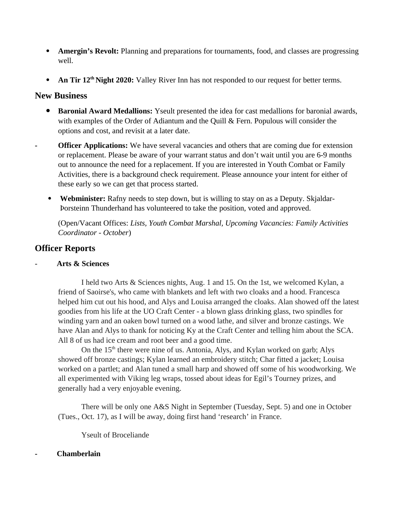- **Amergin's Revolt:** Planning and preparations for tournaments, food, and classes are progressing well.
- An Tir 12<sup>th</sup> Night 2020: Valley River Inn has not responded to our request for better terms.

# **New Business**

- **Baronial Award Medallions:** Yseult presented the idea for cast medallions for baronial awards, with examples of the Order of Adiantum and the Quill & Fern. Populous will consider the options and cost, and revisit at a later date.
- **Officer Applications:** We have several vacancies and others that are coming due for extension or replacement. Please be aware of your warrant status and don't wait until you are 6-9 months out to announce the need for a replacement. If you are interested in Youth Combat or Family Activities, there is a background check requirement. Please announce your intent for either of these early so we can get that process started.
	- **Webminister:** Rafny needs to step down, but is willing to stay on as a Deputy. Skjaldar-Þorsteinn Thunderhand has volunteered to take the position, voted and approved.

(Open/Vacant Offices: *Lists, Youth Combat Marshal, Upcoming Vacancies: Family Activities Coordinator - October*)

# **Officer Reports**

- **Arts & Sciences** 

I held two Arts & Sciences nights, Aug. 1 and 15. On the 1st, we welcomed Kylan, a friend of Saoirse's, who came with blankets and left with two cloaks and a hood. Francesca helped him cut out his hood, and Alys and Louisa arranged the cloaks. Alan showed off the latest goodies from his life at the UO Craft Center - a blown glass drinking glass, two spindles for winding yarn and an oaken bowl turned on a wood lathe, and silver and bronze castings. We have Alan and Alys to thank for noticing Ky at the Craft Center and telling him about the SCA. All 8 of us had ice cream and root beer and a good time.

On the 15<sup>th</sup> there were nine of us. Antonia, Alys, and Kylan worked on garb; Alys showed off bronze castings; Kylan learned an embroidery stitch; Char fitted a jacket; Louisa worked on a partlet; and Alan tuned a small harp and showed off some of his woodworking. We all experimented with Viking leg wraps, tossed about ideas for Egil's Tourney prizes, and generally had a very enjoyable evening.

There will be only one A&S Night in September (Tuesday, Sept. 5) and one in October (Tues., Oct. 17), as I will be away, doing first hand 'research' in France.

Yseult of Broceliande

**- Chamberlain**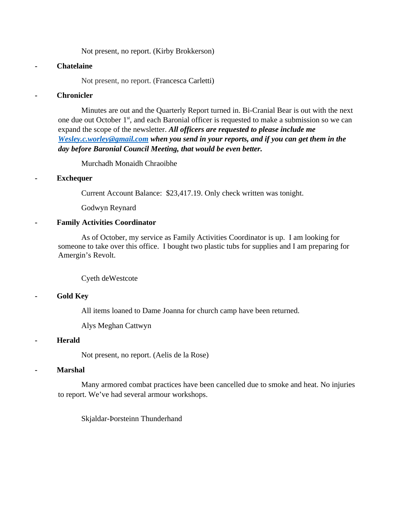Not present, no report. (Kirby Brokkerson)

### **- Chatelaine**

Not present, no report. (Francesca Carletti)

# **- Chronicler**

Minutes are out and the Quarterly Report turned in. Bi-Cranial Bear is out with the next one due out October  $1<sup>st</sup>$ , and each Baronial officer is requested to make a submission so we can expand the scope of the newsletter. *All officers are requested to please include me [Wesley.c.worley@gmail.com](mailto:Wesley.c.worley@gmail.com) when you send in your reports, and if you can get them in the day before Baronial Council Meeting, that would be even better.* 

Murchadh Monaidh Chraoibhe

#### **- Exchequer**

Current Account Balance: \$23,417.19. Only check written was tonight.

Godwyn Reynard

#### **- Family Activities Coordinator**

As of October, my service as Family Activities Coordinator is up. I am looking for someone to take over this office. I bought two plastic tubs for supplies and I am preparing for Amergin's Revolt.

Cyeth deWestcote

### **- Gold Key**

All items loaned to Dame Joanna for church camp have been returned.

Alys Meghan Cattwyn

## **- Herald**

Not present, no report. (Aelis de la Rose)

#### **- Marshal**

Many armored combat practices have been cancelled due to smoke and heat. No injuries to report. We've had several armour workshops.

Skjaldar-Þorsteinn Thunderhand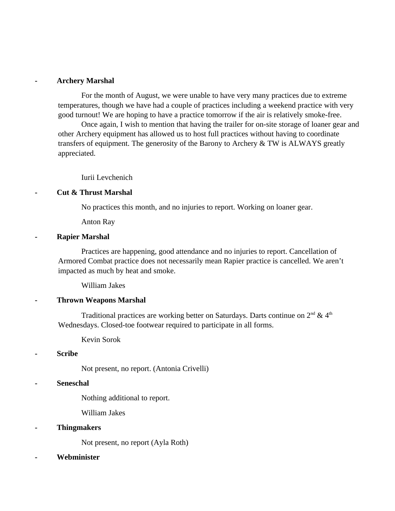#### **- Archery Marshal**

For the month of August, we were unable to have very many practices due to extreme temperatures, though we have had a couple of practices including a weekend practice with very good turnout! We are hoping to have a practice tomorrow if the air is relatively smoke-free.

Once again, I wish to mention that having the trailer for on-site storage of loaner gear and other Archery equipment has allowed us to host full practices without having to coordinate transfers of equipment. The generosity of the Barony to Archery & TW is ALWAYS greatly appreciated.

Iurii Levchenich

#### **- Cut & Thrust Marshal**

No practices this month, and no injuries to report. Working on loaner gear.

Anton Ray

#### **- Rapier Marshal**

Practices are happening, good attendance and no injuries to report. Cancellation of Armored Combat practice does not necessarily mean Rapier practice is cancelled. We aren't impacted as much by heat and smoke.

William Jakes

#### **- Thrown Weapons Marshal**

Traditional practices are working better on Saturdays. Darts continue on  $2<sup>nd</sup>$  &  $4<sup>th</sup>$ Wednesdays. Closed-toe footwear required to participate in all forms.

Kevin Sorok

#### **- Scribe**

Not present, no report. (Antonia Crivelli)

## **- Seneschal**

Nothing additional to report.

William Jakes

#### **- Thingmakers**

Not present, no report (Ayla Roth)

**- Webminister**